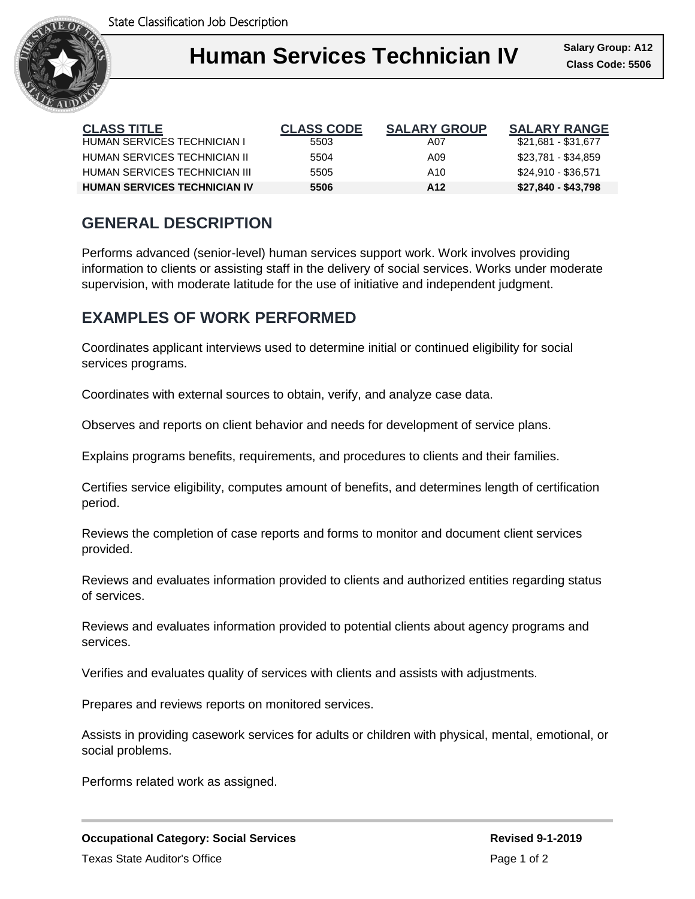

#### **Human II** Salary Group I **Human Services Technician IV Class Code: 5506**

| <b>CLASS TITLE</b>                  | <b>CLASS CODE</b> | <b>SALARY GROUP</b> | <b>SALARY RANGE</b> |
|-------------------------------------|-------------------|---------------------|---------------------|
| HUMAN SERVICES TECHNICIAN I         | 5503              | A07                 | \$21,681 - \$31,677 |
| HUMAN SERVICES TECHNICIAN II        | 5504              | A09                 | \$23,781 - \$34,859 |
| HUMAN SERVICES TECHNICIAN III       | 5505              | A10                 | \$24,910 - \$36,571 |
| <b>HUMAN SERVICES TECHNICIAN IV</b> | 5506              | A12                 | \$27,840 - \$43,798 |

# **GENERAL DESCRIPTION**

Performs advanced (senior-level) human services support work. Work involves providing information to clients or assisting staff in the delivery of social services. Works under moderate supervision, with moderate latitude for the use of initiative and independent judgment.

# **EXAMPLES OF WORK PERFORMED**

Coordinates applicant interviews used to determine initial or continued eligibility for social services programs.

Coordinates with external sources to obtain, verify, and analyze case data.

Observes and reports on client behavior and needs for development of service plans.

Explains programs benefits, requirements, and procedures to clients and their families.

Certifies service eligibility, computes amount of benefits, and determines length of certification period.

Reviews the completion of case reports and forms to monitor and document client services provided.

Reviews and evaluates information provided to clients and authorized entities regarding status of services.

Reviews and evaluates information provided to potential clients about agency programs and services.

Verifies and evaluates quality of services with clients and assists with adjustments.

Prepares and reviews reports on monitored services.

Assists in providing casework services for adults or children with physical, mental, emotional, or social problems.

Performs related work as assigned.